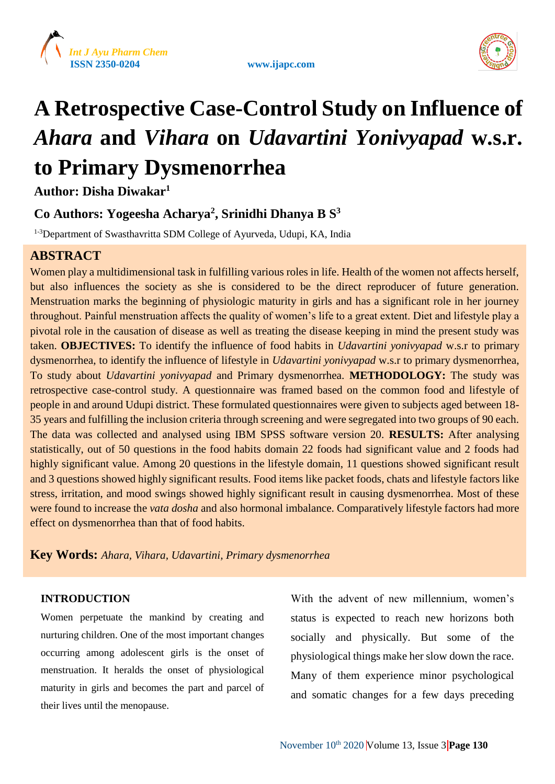



# **A Retrospective Case-Control Study on Influence of**  *Ahara* **and** *Vihara* **on** *Udavartini Yonivyapad* **w.s.r. to Primary Dysmenorrhea**

**Author: Disha Diwakar<sup>1</sup>**

# **Co Authors: Yogeesha Acharya<sup>2</sup> , Srinidhi Dhanya B S 3**

<sup>1-3</sup>Department of Swasthavritta SDM College of Ayurveda, Udupi, KA, India

# **ABSTRACT**

Women play a multidimensional task in fulfilling various roles in life. Health of the women not affects herself, but also influences the society as she is considered to be the direct reproducer of future generation. Menstruation marks the beginning of physiologic maturity in girls and has a significant role in her journey throughout. Painful menstruation affects the quality of women's life to a great extent. Diet and lifestyle play a pivotal role in the causation of disease as well as treating the disease keeping in mind the present study was taken. **OBJECTIVES:** To identify the influence of food habits in *Udavartini yonivyapad* w.s.r to primary dysmenorrhea, to identify the influence of lifestyle in *Udavartini yonivyapad* w.s.r to primary dysmenorrhea, To study about *Udavartini yonivyapad* and Primary dysmenorrhea. **METHODOLOGY:** The study was retrospective case-control study. A questionnaire was framed based on the common food and lifestyle of people in and around Udupi district. These formulated questionnaires were given to subjects aged between 18- 35 years and fulfilling the inclusion criteria through screening and were segregated into two groups of 90 each. The data was collected and analysed using IBM SPSS software version 20. **RESULTS:** After analysing statistically, out of 50 questions in the food habits domain 22 foods had significant value and 2 foods had highly significant value. Among 20 questions in the lifestyle domain, 11 questions showed significant result and 3 questions showed highly significant results. Food items like packet foods, chats and lifestyle factors like stress, irritation, and mood swings showed highly significant result in causing dysmenorrhea. Most of these were found to increase the *vata dosha* and also hormonal imbalance. Comparatively lifestyle factors had more effect on dysmenorrhea than that of food habits.

**Key Words:** *Ahara, Vihara, Udavartini, Primary dysmenorrhea*

# **INTRODUCTION**

Women perpetuate the mankind by creating and nurturing children. One of the most important changes occurring among adolescent girls is the onset of menstruation. It heralds the onset of physiological maturity in girls and becomes the part and parcel of their lives until the menopause.

With the advent of new millennium, women's status is expected to reach new horizons both socially and physically. But some of the physiological things make her slow down the race. Many of them experience minor psychological and somatic changes for a few days preceding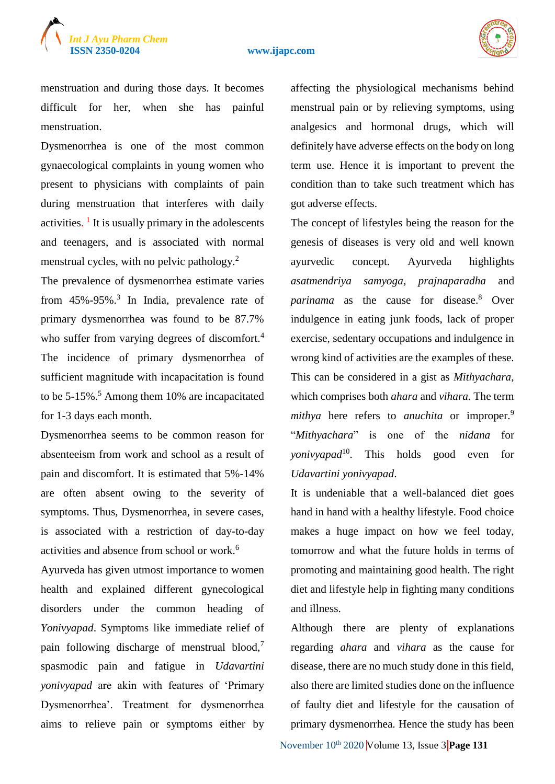

menstruation and during those days. It becomes difficult for her, when she has painful menstruation.

Dysmenorrhea is one of the most common gynaecological complaints in young women who present to physicians with complaints of pain during menstruation that interferes with daily activities.  $\frac{1}{1}$  It is usually primary in the adolescents and teenagers, and is associated with normal menstrual cycles, with no pelvic pathology.<sup>2</sup>

The prevalence of dysmenorrhea estimate varies from  $45\% - 95\%$ <sup>3</sup> In India, prevalence rate of primary dysmenorrhea was found to be 87.7% who suffer from varying degrees of discomfort.<sup>4</sup> The incidence of primary dysmenorrhea of sufficient magnitude with incapacitation is found to be  $5-15\%$ .<sup>5</sup> Among them 10% are incapacitated for 1-3 days each month.

Dysmenorrhea seems to be common reason for absenteeism from work and school as a result of pain and discomfort. It is estimated that 5%-14% are often absent owing to the severity of symptoms. Thus, Dysmenorrhea, in severe cases, is associated with a restriction of day-to-day activities and absence from school or work.<sup>6</sup>

Ayurveda has given utmost importance to women health and explained different gynecological disorders under the common heading of *Yonivyapad*. Symptoms like immediate relief of pain following discharge of menstrual blood, $<sup>7</sup>$ </sup> spasmodic pain and fatigue in *Udavartini yonivyapad* are akin with features of 'Primary Dysmenorrhea'. Treatment for dysmenorrhea aims to relieve pain or symptoms either by affecting the physiological mechanisms behind menstrual pain or by relieving symptoms, using analgesics and hormonal drugs, which will definitely have adverse effects on the body on long term use. Hence it is important to prevent the condition than to take such treatment which has got adverse effects.

The concept of lifestyles being the reason for the genesis of diseases is very old and well known ayurvedic concept. Ayurveda highlights *asatmendriya samyoga, prajnaparadha* and *parinama* as the cause for disease.<sup>8</sup> Over indulgence in eating junk foods, lack of proper exercise, sedentary occupations and indulgence in wrong kind of activities are the examples of these. This can be considered in a gist as *Mithyachara*, which comprises both *ahara* and *vihara.* The term *mithya* here refers to *anuchita* or *improper*.<sup>9</sup> "*Mithyachara*" is one of the *nidana* for *yonivyapad*<sup>10</sup>. This holds good even for *Udavartini yonivyapad*.

It is undeniable that a well-balanced diet goes hand in hand with a healthy lifestyle. Food choice makes a huge impact on how we feel today, tomorrow and what the future holds in terms of promoting and maintaining good health. The right diet and lifestyle help in fighting many conditions and illness.

Although there are plenty of explanations regarding *ahara* and *vihara* as the cause for disease, there are no much study done in this field, also there are limited studies done on the influence of faulty diet and lifestyle for the causation of primary dysmenorrhea. Hence the study has been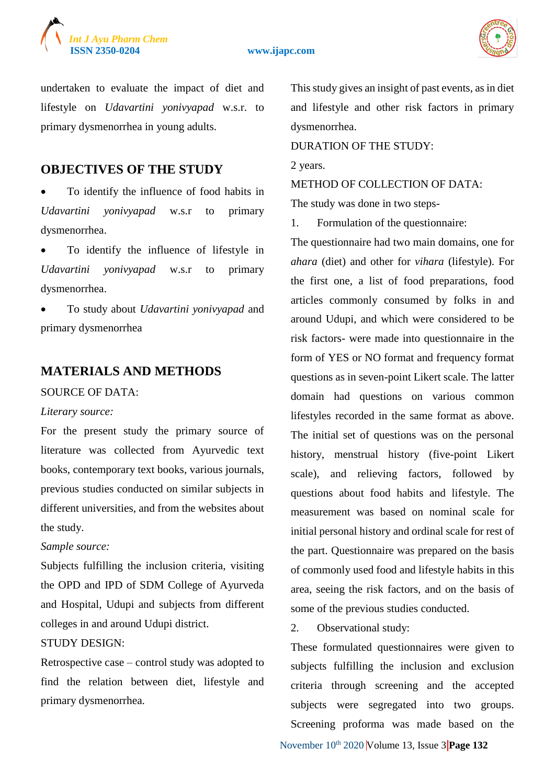



undertaken to evaluate the impact of diet and lifestyle on *Udavartini yonivyapad* w.s.r. to primary dysmenorrhea in young adults.

# **OBJECTIVES OF THE STUDY**

 To identify the influence of food habits in *Udavartini yonivyapad* w.s.r to primary dysmenorrhea.

 To identify the influence of lifestyle in *Udavartini yonivyapad* w.s.r to primary dysmenorrhea.

 To study about *Udavartini yonivyapad* and primary dysmenorrhea

# **MATERIALS AND METHODS**

#### SOURCE OF DATA:

#### *Literary source:*

For the present study the primary source of literature was collected from Ayurvedic text books, contemporary text books, various journals, previous studies conducted on similar subjects in different universities, and from the websites about the study.

#### *Sample source:*

Subjects fulfilling the inclusion criteria, visiting the OPD and IPD of SDM College of Ayurveda and Hospital, Udupi and subjects from different colleges in and around Udupi district.

#### STUDY DESIGN:

Retrospective case – control study was adopted to find the relation between diet, lifestyle and primary dysmenorrhea.

This study gives an insight of past events, as in diet and lifestyle and other risk factors in primary dysmenorrhea.

DURATION OF THE STUDY:

2 years.

METHOD OF COLLECTION OF DATA:

The study was done in two steps-

1. Formulation of the questionnaire:

The questionnaire had two main domains, one for *ahara* (diet) and other for *vihara* (lifestyle). For the first one, a list of food preparations, food articles commonly consumed by folks in and around Udupi, and which were considered to be risk factors- were made into questionnaire in the form of YES or NO format and frequency format questions as in seven-point Likert scale. The latter domain had questions on various common lifestyles recorded in the same format as above. The initial set of questions was on the personal history, menstrual history (five-point Likert scale), and relieving factors, followed by questions about food habits and lifestyle. The measurement was based on nominal scale for initial personal history and ordinal scale for rest of the part. Questionnaire was prepared on the basis of commonly used food and lifestyle habits in this area, seeing the risk factors, and on the basis of some of the previous studies conducted.

2. Observational study:

These formulated questionnaires were given to subjects fulfilling the inclusion and exclusion criteria through screening and the accepted subjects were segregated into two groups. Screening proforma was made based on the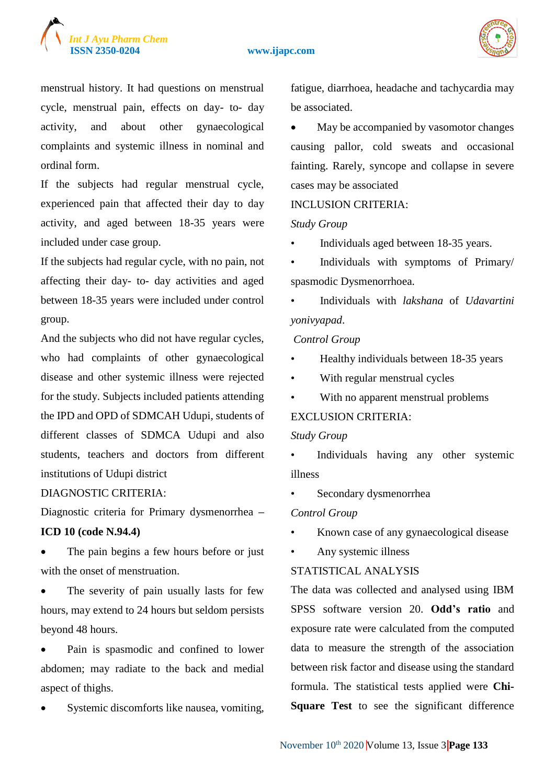



menstrual history. It had questions on menstrual cycle, menstrual pain, effects on day- to- day activity, and about other gynaecological complaints and systemic illness in nominal and ordinal form.

If the subjects had regular menstrual cycle, experienced pain that affected their day to day activity, and aged between 18-35 years were included under case group.

If the subjects had regular cycle, with no pain, not affecting their day- to- day activities and aged between 18-35 years were included under control group.

And the subjects who did not have regular cycles, who had complaints of other gynaecological disease and other systemic illness were rejected for the study. Subjects included patients attending the IPD and OPD of SDMCAH Udupi, students of different classes of SDMCA Udupi and also students, teachers and doctors from different institutions of Udupi district

#### DIAGNOSTIC CRITERIA:

Diagnostic criteria for Primary dysmenorrhea **–**

# **ICD 10 (code N.94.4)**

 The pain begins a few hours before or just with the onset of menstruation.

• The severity of pain usually lasts for few hours, may extend to 24 hours but seldom persists beyond 48 hours.

• Pain is spasmodic and confined to lower abdomen; may radiate to the back and medial aspect of thighs.

Systemic discomforts like nausea, vomiting,

fatigue, diarrhoea, headache and tachycardia may be associated.

 May be accompanied by vasomotor changes causing pallor, cold sweats and occasional fainting. Rarely, syncope and collapse in severe cases may be associated

#### INCLUSION CRITERIA:

#### *Study Group*

Individuals aged between 18-35 years.

• Individuals with symptoms of Primary/ spasmodic Dysmenorrhoea.

• Individuals with *lakshana* of *Udavartini yonivyapad*.

#### *Control Group*

- Healthy individuals between 18-35 years
- With regular menstrual cycles
- With no apparent menstrual problems

# EXCLUSION CRITERIA:

#### *Study Group*

• Individuals having any other systemic illness

Secondary dysmenorrhea

#### *Control Group*

- Known case of any gynaecological disease
- Any systemic illness

# STATISTICAL ANALYSIS

The data was collected and analysed using IBM SPSS software version 20. **Odd's ratio** and exposure rate were calculated from the computed data to measure the strength of the association between risk factor and disease using the standard formula. The statistical tests applied were **Chi-Square Test** to see the significant difference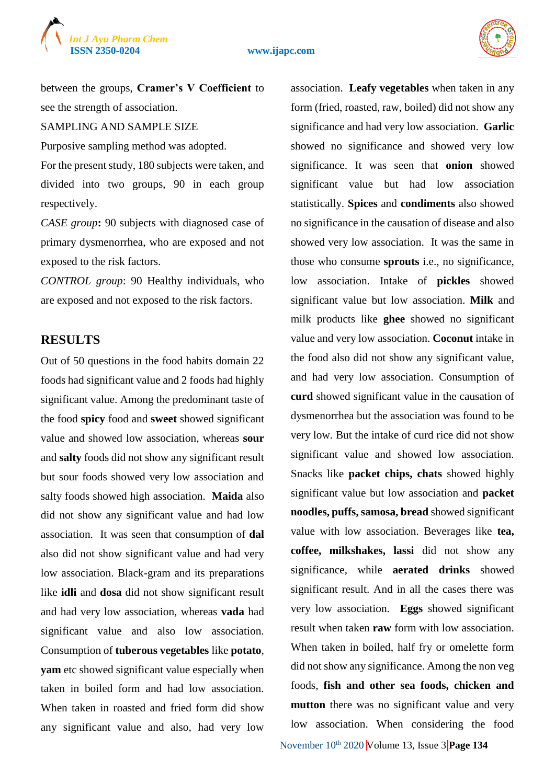



between the groups, **Cramer's V Coefficient** to see the strength of association.

SAMPLING AND SAMPLE SIZE

Purposive sampling method was adopted.

For the present study, 180 subjects were taken, and divided into two groups, 90 in each group respectively.

*CASE group***:** 90 subjects with diagnosed case of primary dysmenorrhea, who are exposed and not exposed to the risk factors.

*CONTROL group*: 90 Healthy individuals, who are exposed and not exposed to the risk factors.

# **RESULTS**

Out of 50 questions in the food habits domain 22 foods had significant value and 2 foods had highly significant value. Among the predominant taste of the food **spicy** food and **sweet** showed significant value and showed low association, whereas **sour**  and **salty** foods did not show any significant result but sour foods showed very low association and salty foods showed high association. **Maida** also did not show any significant value and had low association. It was seen that consumption of **dal**  also did not show significant value and had very low association. Black-gram and its preparations like **idli** and **dosa** did not show significant result and had very low association, whereas **vada** had significant value and also low association. Consumption of **tuberous vegetables** like **potato**, **yam** etc showed significant value especially when taken in boiled form and had low association. When taken in roasted and fried form did show any significant value and also, had very low

association. **Leafy vegetables** when taken in any form (fried, roasted, raw, boiled) did not show any significance and had very low association. **Garlic**  showed no significance and showed very low significance. It was seen that **onion** showed significant value but had low association statistically. **Spices** and **condiments** also showed no significance in the causation of disease and also showed very low association. It was the same in those who consume **sprouts** i.e., no significance, low association. Intake of **pickles** showed significant value but low association. **Milk** and milk products like **ghee** showed no significant value and very low association. **Coconut** intake in the food also did not show any significant value, and had very low association. Consumption of **curd** showed significant value in the causation of dysmenorrhea but the association was found to be very low. But the intake of curd rice did not show significant value and showed low association. Snacks like **packet chips, chats** showed highly significant value but low association and **packet noodles, puffs, samosa, bread** showed significant value with low association. Beverages like **tea, coffee, milkshakes, lassi** did not show any significance, while **aerated drinks** showed significant result. And in all the cases there was very low association. **Eggs** showed significant result when taken **raw** form with low association. When taken in boiled, half fry or omelette form did not show any significance. Among the non veg foods, **fish and other sea foods, chicken and mutton** there was no significant value and very low association. When considering the food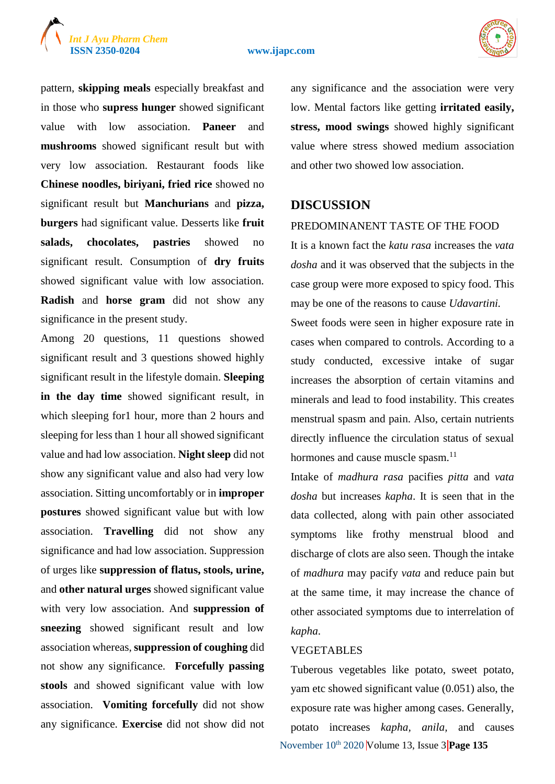# *Int J Ayu Pharm Chem*

#### **ISSN 2350-0204 www.ijapc.com**



pattern, **skipping meals** especially breakfast and in those who **supress hunger** showed significant value with low association. **Paneer** and **mushrooms** showed significant result but with very low association. Restaurant foods like **Chinese noodles, biriyani, fried rice** showed no significant result but **Manchurians** and **pizza, burgers** had significant value. Desserts like **fruit salads, chocolates, pastries** showed no significant result. Consumption of **dry fruits**  showed significant value with low association. **Radish** and **horse gram** did not show any significance in the present study.

Among 20 questions, 11 questions showed significant result and 3 questions showed highly significant result in the lifestyle domain. **Sleeping in the day time** showed significant result, in which sleeping for1 hour, more than 2 hours and sleeping for less than 1 hour all showed significant value and had low association. **Night sleep** did not show any significant value and also had very low association. Sitting uncomfortably or in **improper postures** showed significant value but with low association. **Travelling** did not show any significance and had low association. Suppression of urges like **suppression of flatus, stools, urine,**  and **other natural urges** showed significant value with very low association. And **suppression of sneezing** showed significant result and low association whereas, **suppression of coughing** did not show any significance. **Forcefully passing stools** and showed significant value with low association. **Vomiting forcefully** did not show any significance. **Exercise** did not show did not

any significance and the association were very low. Mental factors like getting **irritated easily, stress, mood swings** showed highly significant value where stress showed medium association and other two showed low association.

# **DISCUSSION**

# PREDOMINANENT TASTE OF THE FOOD

It is a known fact the *katu rasa* increases the *vata dosha* and it was observed that the subjects in the case group were more exposed to spicy food. This may be one of the reasons to cause *Udavartini.*  Sweet foods were seen in higher exposure rate in

cases when compared to controls. According to a study conducted, excessive intake of sugar increases the absorption of certain vitamins and minerals and lead to food instability. This creates menstrual spasm and pain. Also, certain nutrients directly influence the circulation status of sexual hormones and cause muscle spasm.<sup>11</sup>

Intake of *madhura rasa* pacifies *pitta* and *vata dosha* but increases *kapha*. It is seen that in the data collected, along with pain other associated symptoms like frothy menstrual blood and discharge of clots are also seen. Though the intake of *madhura* may pacify *vata* and reduce pain but at the same time, it may increase the chance of other associated symptoms due to interrelation of *kapha*.

# VEGETABLES

November  $10^{th}$  2020 Volume 13, Issue 3 **Page 135** Tuberous vegetables like potato, sweet potato, yam etc showed significant value (0.051) also, the exposure rate was higher among cases. Generally, potato increases *kapha, anila,* and causes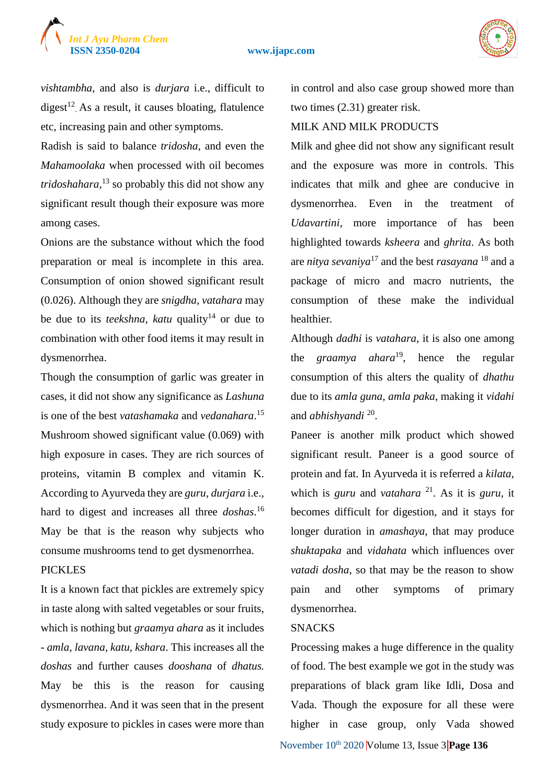



*vishtambha*, and also is *durjara* i.e., difficult to digest<sup>12</sup>. As a result, it causes bloating, flatulence etc, increasing pain and other symptoms.

Radish is said to balance *tridosha*, and even the *Mahamoolaka* when processed with oil becomes *tridoshahara,*<sup>13</sup> so probably this did not show any significant result though their exposure was more among cases.

Onions are the substance without which the food preparation or meal is incomplete in this area. Consumption of onion showed significant result (0.026). Although they are *snigdha, vatahara* may be due to its *teekshna, katu* quality<sup>14</sup> or due to combination with other food items it may result in dysmenorrhea.

Though the consumption of garlic was greater in cases, it did not show any significance as *Lashuna*  is one of the best *vatashamaka* and *vedanahara*. 15 Mushroom showed significant value (0.069) with high exposure in cases. They are rich sources of proteins, vitamin B complex and vitamin K. According to Ayurveda they are *guru, durjara* i.e., hard to digest and increases all three *doshas*. 16 May be that is the reason why subjects who consume mushrooms tend to get dysmenorrhea. **PICKLES** 

It is a known fact that pickles are extremely spicy in taste along with salted vegetables or sour fruits, which is nothing but *graamya ahara* as it includes - *amla, lavana, katu, kshara*. This increases all the *doshas* and further causes *dooshana* of *dhatus.*  May be this is the reason for causing dysmenorrhea. And it was seen that in the present study exposure to pickles in cases were more than

in control and also case group showed more than two times (2.31) greater risk.

# MILK AND MILK PRODUCTS

Milk and ghee did not show any significant result and the exposure was more in controls. This indicates that milk and ghee are conducive in dysmenorrhea. Even in the treatment of *Udavartini*, more importance of has been highlighted towards *ksheera* and *ghrita*. As both are *nitya sevaniya*<sup>17</sup> and the best *rasayana* <sup>18</sup> and a package of micro and macro nutrients, the consumption of these make the individual healthier*.* 

Although *dadhi* is *vatahara*, it is also one among the *graamya ahara*<sup>19</sup>, hence the regular consumption of this alters the quality of *dhathu*  due to its *amla guna, amla paka*, making it *vidahi*  and *abhishyandi* <sup>20</sup> .

Paneer is another milk product which showed significant result. Paneer is a good source of protein and fat. In Ayurveda it is referred a *kilata,*  which is *guru* and *vatahara* <sup>21</sup>. As it is *guru*, it becomes difficult for digestion, and it stays for longer duration in *amashaya*, that may produce *shuktapaka* and *vidahata* which influences over *vatadi dosha*, so that may be the reason to show pain and other symptoms of primary dysmenorrhea.

#### **SNACKS**

November 10<sup>th</sup> 2020 Volume 13, Issue 3 **Page 136** Processing makes a huge difference in the quality of food. The best example we got in the study was preparations of black gram like Idli, Dosa and Vada. Though the exposure for all these were higher in case group, only Vada showed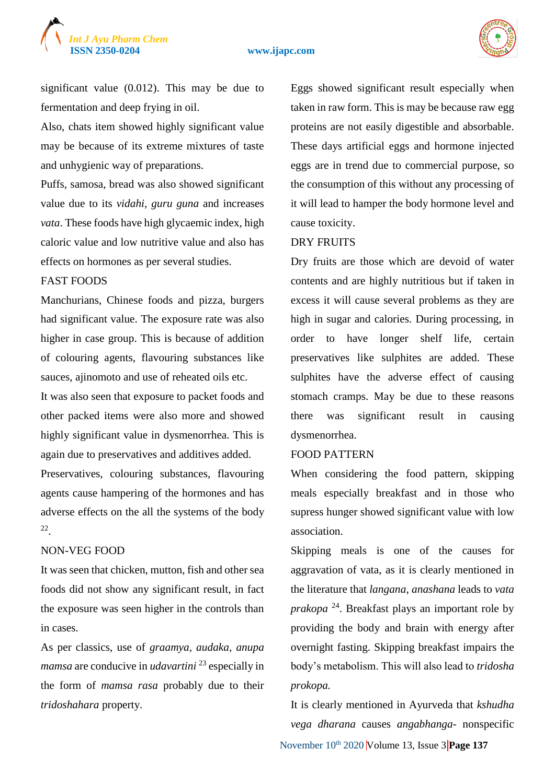



significant value (0.012). This may be due to fermentation and deep frying in oil.

Also, chats item showed highly significant value may be because of its extreme mixtures of taste and unhygienic way of preparations.

Puffs, samosa, bread was also showed significant value due to its *vidahi, guru guna* and increases *vata*. These foods have high glycaemic index, high caloric value and low nutritive value and also has effects on hormones as per several studies.

# FAST FOODS

Manchurians, Chinese foods and pizza, burgers had significant value. The exposure rate was also higher in case group. This is because of addition of colouring agents, flavouring substances like sauces, ajinomoto and use of reheated oils etc.

It was also seen that exposure to packet foods and other packed items were also more and showed highly significant value in dysmenorrhea. This is again due to preservatives and additives added.

Preservatives, colouring substances, flavouring agents cause hampering of the hormones and has adverse effects on the all the systems of the body 22 .

# NON-VEG FOOD

It was seen that chicken, mutton, fish and other sea foods did not show any significant result, in fact the exposure was seen higher in the controls than in cases.

As per classics, use of *graamya, audaka, anupa mamsa* are conducive in *udavartini* <sup>23</sup> especially in the form of *mamsa rasa* probably due to their *tridoshahara* property.

Eggs showed significant result especially when taken in raw form. This is may be because raw egg proteins are not easily digestible and absorbable. These days artificial eggs and hormone injected eggs are in trend due to commercial purpose, so the consumption of this without any processing of it will lead to hamper the body hormone level and cause toxicity.

#### DRY FRUITS

Dry fruits are those which are devoid of water contents and are highly nutritious but if taken in excess it will cause several problems as they are high in sugar and calories. During processing, in order to have longer shelf life, certain preservatives like sulphites are added. These sulphites have the adverse effect of causing stomach cramps. May be due to these reasons there was significant result in causing dysmenorrhea.

# FOOD PATTERN

When considering the food pattern, skipping meals especially breakfast and in those who supress hunger showed significant value with low association.

Skipping meals is one of the causes for aggravation of vata, as it is clearly mentioned in the literature that *langana*, *anashana* leads to *vata prakopa* <sup>24</sup>. Breakfast plays an important role by providing the body and brain with energy after overnight fasting. Skipping breakfast impairs the body's metabolism. This will also lead to *tridosha prokopa.* 

November 10<sup>th</sup> 2020 Volume 13, Issue 3 **Page 137** It is clearly mentioned in Ayurveda that *kshudha vega dharana* causes *angabhanga*- nonspecific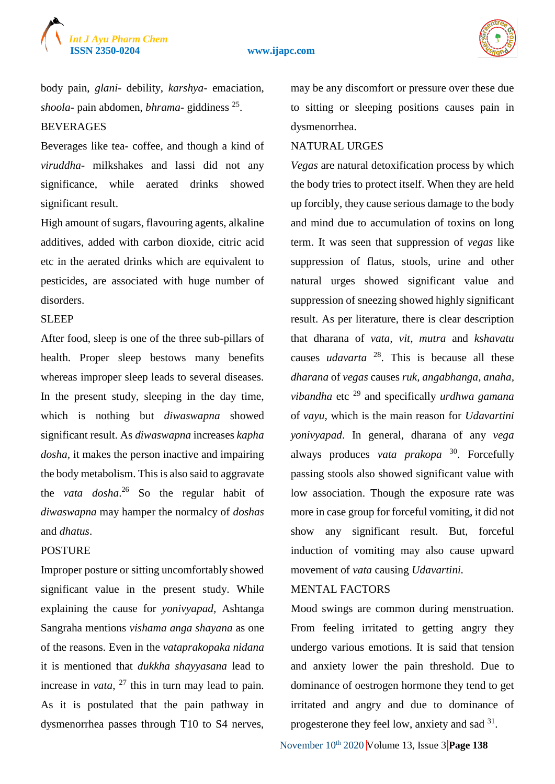

body pain, *glani*- debility, *karshya*- emaciation, *shoola*- pain abdomen, *bhrama*- giddiness <sup>25</sup> . BEVERAGES

Beverages like tea- coffee, and though a kind of *viruddha*- milkshakes and lassi did not any significance, while aerated drinks showed significant result.

High amount of sugars, flavouring agents, alkaline additives, added with carbon dioxide, citric acid etc in the aerated drinks which are equivalent to pesticides, are associated with huge number of disorders.

#### SLEEP

After food, sleep is one of the three sub-pillars of health. Proper sleep bestows many benefits whereas improper sleep leads to several diseases. In the present study, sleeping in the day time, which is nothing but *diwaswapna* showed significant result. As *diwaswapna* increases *kapha dosha,* it makes the person inactive and impairing the body metabolism. This is also said to aggravate the *vata dosha*. <sup>26</sup> So the regular habit of *diwaswapna* may hamper the normalcy of *doshas*  and *dhatus*.

# **POSTURE**

Improper posture or sitting uncomfortably showed significant value in the present study. While explaining the cause for *yonivyapad,* Ashtanga Sangraha mentions *vishama anga shayana* as one of the reasons. Even in the *vataprakopaka nidana*  it is mentioned that *dukkha shayyasana* lead to increase in *vata*, <sup>27</sup> this in turn may lead to pain. As it is postulated that the pain pathway in dysmenorrhea passes through T10 to S4 nerves,

may be any discomfort or pressure over these due to sitting or sleeping positions causes pain in dysmenorrhea.

#### NATURAL URGES

*Vegas* are natural detoxification process by which the body tries to protect itself. When they are held up forcibly, they cause serious damage to the body and mind due to accumulation of toxins on long term. It was seen that suppression of *vegas* like suppression of flatus, stools, urine and other natural urges showed significant value and suppression of sneezing showed highly significant result. As per literature, there is clear description that dharana of *vata, vit*, *mutra* and *kshavatu*  causes *udavarta* <sup>28</sup> . This is because all these *dharana* of *vegas* causes *ruk, angabhanga, anaha, vibandha* etc <sup>29</sup> and specifically *urdhwa gamana*  of *vayu,* which is the main reason for *Udavartini yonivyapad*. In general, dharana of any *vega*  always produces *vata prakopa* <sup>30</sup>. Forcefully passing stools also showed significant value with low association. Though the exposure rate was more in case group for forceful vomiting, it did not show any significant result. But, forceful induction of vomiting may also cause upward movement of *vata* causing *Udavartini.*

# MENTAL FACTORS

Mood swings are common during menstruation. From feeling irritated to getting angry they undergo various emotions. It is said that tension and anxiety lower the pain threshold. Due to dominance of oestrogen hormone they tend to get irritated and angry and due to dominance of progesterone they feel low, anxiety and sad  $31$ .

November 10<sup>th</sup> 2020 Volume 13, Issue 3 **Page 138**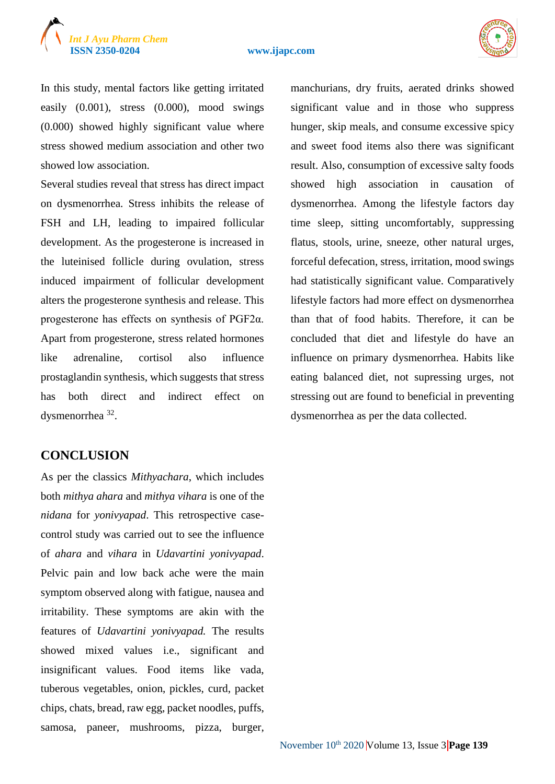

In this study, mental factors like getting irritated easily (0.001), stress (0.000), mood swings (0.000) showed highly significant value where stress showed medium association and other two showed low association.

Several studies reveal that stress has direct impact on dysmenorrhea. Stress inhibits the release of FSH and LH, leading to impaired follicular development. As the progesterone is increased in the luteinised follicle during ovulation, stress induced impairment of follicular development alters the progesterone synthesis and release. This progesterone has effects on synthesis of PGF2α. Apart from progesterone, stress related hormones like adrenaline, cortisol also influence prostaglandin synthesis, which suggests that stress has both direct and indirect effect on dysmenorrhea<sup>32</sup>.

# **CONCLUSION**

As per the classics *Mithyachara*, which includes both *mithya ahara* and *mithya vihara* is one of the *nidana* for *yonivyapad*. This retrospective casecontrol study was carried out to see the influence of *ahara* and *vihara* in *Udavartini yonivyapad*. Pelvic pain and low back ache were the main symptom observed along with fatigue, nausea and irritability. These symptoms are akin with the features of *Udavartini yonivyapad.* The results showed mixed values i.e., significant and insignificant values. Food items like vada, tuberous vegetables, onion, pickles, curd, packet chips, chats, bread, raw egg, packet noodles, puffs, samosa, paneer, mushrooms, pizza, burger,

manchurians, dry fruits, aerated drinks showed significant value and in those who suppress hunger, skip meals, and consume excessive spicy and sweet food items also there was significant result. Also, consumption of excessive salty foods showed high association in causation of dysmenorrhea. Among the lifestyle factors day time sleep, sitting uncomfortably, suppressing flatus, stools, urine, sneeze, other natural urges, forceful defecation, stress, irritation, mood swings had statistically significant value. Comparatively lifestyle factors had more effect on dysmenorrhea than that of food habits. Therefore, it can be concluded that diet and lifestyle do have an influence on primary dysmenorrhea. Habits like eating balanced diet, not supressing urges, not stressing out are found to beneficial in preventing dysmenorrhea as per the data collected.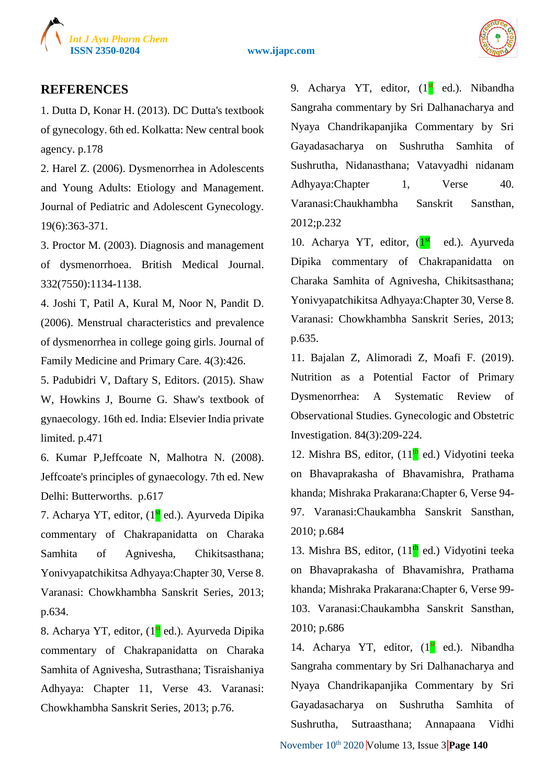



# **REFERENCES**

1. Dutta D, Konar H. (2013). DC Dutta's textbook of gynecology. 6th ed. Kolkatta: New central book agency. p.178

2. Harel Z. (2006). Dysmenorrhea in Adolescents and Young Adults: Etiology and Management. Journal of Pediatric and Adolescent Gynecology. 19(6):363-371.

3. Proctor M. (2003). Diagnosis and management of dysmenorrhoea. British Medical Journal. 332(7550):1134-1138.

4. Joshi T, Patil A, Kural M, Noor N, Pandit D. (2006). Menstrual characteristics and prevalence of dysmenorrhea in college going girls. Journal of Family Medicine and Primary Care. 4(3):426.

5. Padubidri V, Daftary S, Editors. (2015). Shaw W, Howkins J, Bourne G. Shaw's textbook of gynaecology. 16th ed. India: Elsevier India private limited. p.471

6. Kumar P,Jeffcoate N, Malhotra N. (2008). Jeffcoate's principles of gynaecology. 7th ed. New Delhi: Butterworths. p.617

7. Acharya YT, editor, (1<sup>st</sup> ed.). Ayurveda Dipika commentary of Chakrapanidatta on Charaka Samhita of Agnivesha, Chikitsasthana; Yonivyapatchikitsa Adhyaya:Chapter 30, Verse 8. Varanasi: Chowkhambha Sanskrit Series, 2013; p.634.

8. Acharya YT, editor, (1<sup>st</sup> ed.). Ayurveda Dipika commentary of Chakrapanidatta on Charaka Samhita of Agnivesha, Sutrasthana; Tisraishaniya Adhyaya: Chapter 11, Verse 43. Varanasi: Chowkhambha Sanskrit Series, 2013; p.76.

9. Acharya YT, editor,  $(1<sup>st</sup>$  ed.). Nibandha Sangraha commentary by Sri Dalhanacharya and Nyaya Chandrikapanjika Commentary by Sri Gayadasacharya on Sushrutha Samhita of Sushrutha, Nidanasthana; Vatavyadhi nidanam Adhyaya:Chapter 1, Verse 40. Varanasi:Chaukhambha Sanskrit Sansthan, 2012;p.232

10. Acharya YT, editor, (1st ed.). Ayurveda Dipika commentary of Chakrapanidatta on Charaka Samhita of Agnivesha, Chikitsasthana; Yonivyapatchikitsa Adhyaya:Chapter 30, Verse 8. Varanasi: Chowkhambha Sanskrit Series, 2013; p.635.

11. Bajalan Z, Alimoradi Z, Moafi F. (2019). Nutrition as a Potential Factor of Primary Dysmenorrhea: A Systematic Review of Observational Studies. Gynecologic and Obstetric Investigation. 84(3):209-224.

12. Mishra BS, editor,  $(11<sup>th</sup>$  ed.) Vidyotini teeka on Bhavaprakasha of Bhavamishra, Prathama khanda; Mishraka Prakarana:Chapter 6, Verse 94- 97. Varanasi:Chaukambha Sanskrit Sansthan, 2010; p.684

13. Mishra BS, editor,  $(11<sup>th</sup>$  ed.) Vidyotini teeka on Bhavaprakasha of Bhavamishra, Prathama khanda; Mishraka Prakarana:Chapter 6, Verse 99- 103. Varanasi:Chaukambha Sanskrit Sansthan, 2010; p.686

14. Acharya YT, editor, (1<sup>st</sup> ed.). Nibandha Sangraha commentary by Sri Dalhanacharya and Nyaya Chandrikapanjika Commentary by Sri Gayadasacharya on Sushrutha Samhita of Sushrutha, Sutraasthana; Annapaana Vidhi

November 10<sup>th</sup> 2020 **V**olume 13, Issue 3 **Page 140**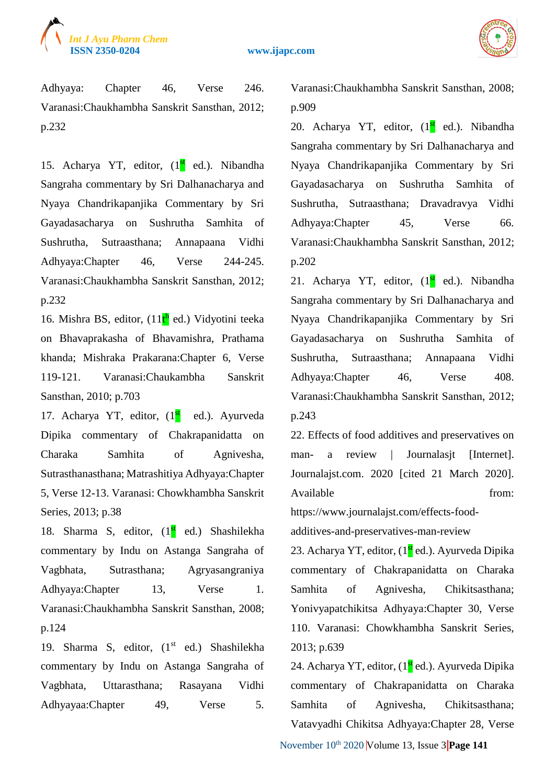



Adhyaya: Chapter 46, Verse 246. Varanasi:Chaukhambha Sanskrit Sansthan, 2012; p.232

15. Acharya YT, editor, (1<sup>st</sup> ed.). Nibandha Sangraha commentary by Sri Dalhanacharya and Nyaya Chandrikapanjika Commentary by Sri Gayadasacharya on Sushrutha Samhita of Sushrutha, Sutraasthana; Annapaana Vidhi Adhyaya:Chapter 46, Verse 244-245. Varanasi:Chaukhambha Sanskrit Sansthan, 2012; p.232

16. Mishra BS, editor, (11<sup>th</sup> ed.) Vidyotini teeka on Bhavaprakasha of Bhavamishra, Prathama khanda; Mishraka Prakarana:Chapter 6, Verse 119-121. Varanasi:Chaukambha Sanskrit Sansthan, 2010; p.703

17. Acharya YT, editor, (1<sup>st</sup> ed.). Ayurveda Dipika commentary of Chakrapanidatta on Charaka Samhita of Agnivesha, Sutrasthanasthana; Matrashitiya Adhyaya:Chapter 5, Verse 12-13. Varanasi: Chowkhambha Sanskrit Series, 2013; p.38

18. Sharma S, editor,  $(1<sup>st</sup>$  ed.) Shashilekha commentary by Indu on Astanga Sangraha of Vagbhata, Sutrasthana; Agryasangraniya Adhyaya:Chapter 13, Verse 1. Varanasi:Chaukhambha Sanskrit Sansthan, 2008; p.124

19. Sharma S, editor, (1<sup>st</sup> ed.) Shashilekha commentary by Indu on Astanga Sangraha of Vagbhata, Uttarasthana; Rasayana Vidhi Adhyayaa:Chapter 49, Verse 5.

Varanasi:Chaukhambha Sanskrit Sansthan, 2008; p.909

20. Acharya YT, editor,  $(1<sup>st</sup> ed.)$ . Nibandha Sangraha commentary by Sri Dalhanacharya and Nyaya Chandrikapanjika Commentary by Sri Gayadasacharya on Sushrutha Samhita of Sushrutha, Sutraasthana; Dravadravya Vidhi Adhyaya:Chapter 45, Verse 66. Varanasi:Chaukhambha Sanskrit Sansthan, 2012; p.202

21. Acharya YT, editor, (1<sup>st</sup> ed.). Nibandha Sangraha commentary by Sri Dalhanacharya and Nyaya Chandrikapanjika Commentary by Sri Gayadasacharya on Sushrutha Samhita of Sushrutha, Sutraasthana; Annapaana Vidhi Adhyaya:Chapter 46, Verse 408. Varanasi:Chaukhambha Sanskrit Sansthan, 2012; p.243

22. Effects of food additives and preservatives on man- a review | Journalasit [Internet]. Journalajst.com. 2020 [cited 21 March 2020]. Available from:

https://www.journalajst.com/effects-foodadditives-and-preservatives-man-review

23. Acharya YT, editor, (1<sup>st</sup> ed.). Ayurveda Dipika commentary of Chakrapanidatta on Charaka Samhita of Agnivesha, Chikitsasthana; Yonivyapatchikitsa Adhyaya:Chapter 30, Verse 110. Varanasi: Chowkhambha Sanskrit Series, 2013; p.639

24. Acharya YT, editor, (1st ed.). Ayurveda Dipika commentary of Chakrapanidatta on Charaka Samhita of Agnivesha, Chikitsasthana; Vatavyadhi Chikitsa Adhyaya:Chapter 28, Verse

November 10<sup>th</sup> 2020 Volume 13, Issue 3 **Page 141**